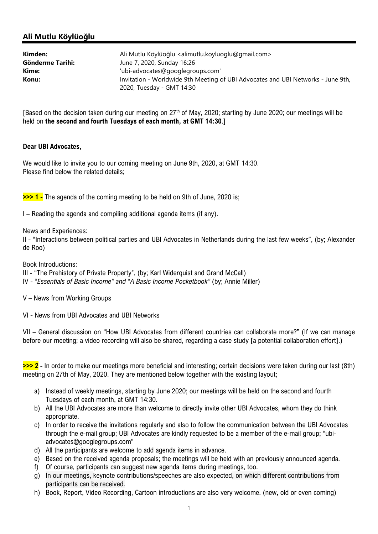# Ali Mutlu Köylüoğlu

| Kimden:          | Ali Mutlu Köylüoğlu <alimutlu.koyluoglu@gmail.com></alimutlu.koyluoglu@gmail.com>                             |
|------------------|---------------------------------------------------------------------------------------------------------------|
| Gönderme Tarihi: | June 7, 2020, Sunday 16:26                                                                                    |
| Kime:            | 'ubi-advocates@googlegroups.com'                                                                              |
| Konu:            | Invitation - Worldwide 9th Meeting of UBI Advocates and UBI Networks - June 9th,<br>2020, Tuesday - GMT 14:30 |

[Based on the decision taken during our meeting on 27<sup>th</sup> of May, 2020; starting by June 2020; our meetings will be held on the second and fourth Tuesdays of each month, at GMT 14:30.]

### Dear UBI Advocates,

We would like to invite you to our coming meeting on June 9th, 2020, at GMT 14:30. Please find below the related details;

>>> 1 - The agenda of the coming meeting to be held on 9th of June, 2020 is;

I – Reading the agenda and compiling additional agenda items (if any).

News and Experiences:

II - "Interactions between political parties and UBI Advocates in Netherlands during the last few weeks", (by; Alexander de Roo)

Book Introductions:

III - "The Prehistory of Private Property", (by; Karl Widerquist and Grand McCall)

IV - "Essentials of Basic Income" and "A Basic Income Pocketbook" (by; Annie Miller)

V – News from Working Groups

VI - News from UBI Advocates and UBI Networks

VII – General discussion on "How UBI Advocates from different countries can collaborate more?" (If we can manage before our meeting; a video recording will also be shared, regarding a case study [a potential collaboration effort].)

>>> 2 - In order to make our meetings more beneficial and interesting; certain decisions were taken during our last (8th) meeting on 27th of May, 2020. They are mentioned below together with the existing layout;

- a) Instead of weekly meetings, starting by June 2020; our meetings will be held on the second and fourth Tuesdays of each month, at GMT 14:30.
- b) All the UBI Advocates are more than welcome to directly invite other UBI Advocates, whom they do think appropriate.
- c) In order to receive the invitations regularly and also to follow the communication between the UBI Advocates through the e-mail group; UBI Advocates are kindly requested to be a member of the e-mail group; "ubiadvocates@googlegroups.com"
- d) All the participants are welcome to add agenda items in advance.
- e) Based on the received agenda proposals; the meetings will be held with an previously announced agenda.
- f) Of course, participants can suggest new agenda items during meetings, too.
- g) In our meetings, keynote contributions/speeches are also expected, on which different contributions from participants can be received.
- h) Book, Report, Video Recording, Cartoon introductions are also very welcome. (new, old or even coming)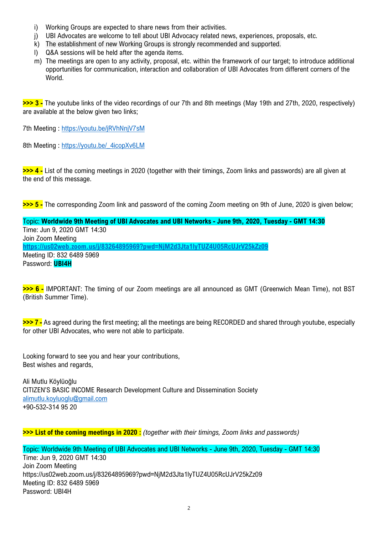- i) Working Groups are expected to share news from their activities.
- j) UBI Advocates are welcome to tell about UBI Advocacy related news, experiences, proposals, etc.
- k) The establishment of new Working Groups is strongly recommended and supported.
- l) Q&A sessions will be held after the agenda items.
- m) The meetings are open to any activity, proposal, etc. within the framework of our target; to introduce additional opportunities for communication, interaction and collaboration of UBI Advocates from different corners of the World.

>>> 3 - The youtube links of the video recordings of our 7th and 8th meetings (May 19th and 27th, 2020, respectively) are available at the below given two links;

7th Meeting : https://youtu.be/jRVhNnjV7sM

8th Meeting : https://youtu.be/\_4icopXv6LM

>>> 4 - List of the coming meetings in 2020 (together with their timings, Zoom links and passwords) are all given at the end of this message.

>>> 5 - The corresponding Zoom link and password of the coming Zoom meeting on 9th of June, 2020 is given below;

Topic: Worldwide 9th Meeting of UBI Advocates and UBI Networks - June 9th, 2020, Tuesday - GMT 14:30 Time: Jun 9, 2020 GMT 14:30 Join Zoom Meeting https://us02web.zoom.us/j/83264895969?pwd=NjM2d3Jta1lyTUZ4U05RcUJrV25kZz09 Meeting ID: 832 6489 5969 Password: **UBI4H** 

>>> 6 - IMPORTANT: The timing of our Zoom meetings are all announced as GMT (Greenwich Mean Time), not BST (British Summer Time).

>>> 7 - As agreed during the first meeting; all the meetings are being RECORDED and shared through youtube, especially for other UBI Advocates, who were not able to participate.

Looking forward to see you and hear your contributions, Best wishes and regards,

Ali Mutlu Köylüoğlu CITIZEN'S BASIC INCOME Research Development Culture and Dissemination Society alimutlu.koyluoglu@gmail.com +90-532-314 95 20

>>> List of the coming meetings in 2020 : (together with their timings, Zoom links and passwords)

Topic: Worldwide 9th Meeting of UBI Advocates and UBI Networks - June 9th, 2020, Tuesday - GMT 14:30 Time: Jun 9, 2020 GMT 14:30 Join Zoom Meeting https://us02web.zoom.us/j/83264895969?pwd=NjM2d3Jta1lyTUZ4U05RcUJrV25kZz09 Meeting ID: 832 6489 5969 Password: UBI4H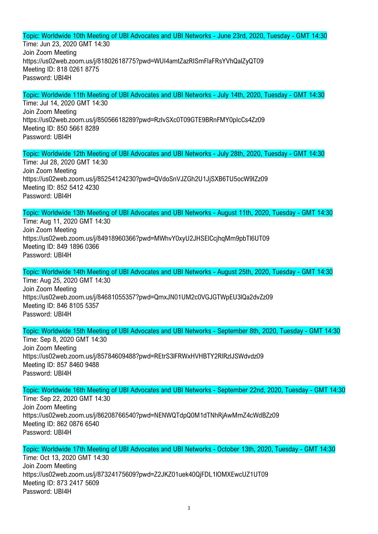## Topic: Worldwide 10th Meeting of UBI Advocates and UBI Networks - June 23rd, 2020, Tuesday - GMT 14:30

Time: Jun 23, 2020 GMT 14:30 Join Zoom Meeting https://us02web.zoom.us/j/81802618775?pwd=WUI4amtZazRISmFlaFRsYVhQalZyQT09 Meeting ID: 818 0261 8775 Password: UBI4H

## Topic: Worldwide 11th Meeting of UBI Advocates and UBI Networks - July 14th, 2020, Tuesday - GMT 14:30

Time: Jul 14, 2020 GMT 14:30 Join Zoom Meeting https://us02web.zoom.us/j/85056618289?pwd=RzIvSXc0T09GTE9BRnFMY0pIcCs4Zz09 Meeting ID: 850 5661 8289 Password: UBI4H

### Topic: Worldwide 12th Meeting of UBI Advocates and UBI Networks - July 28th, 2020, Tuesday - GMT 14:30

Time: Jul 28, 2020 GMT 14:30 Join Zoom Meeting https://us02web.zoom.us/j/85254124230?pwd=QVdoSnVJZGh2U1JjSXB6TU5ocW9IZz09 Meeting ID: 852 5412 4230 Password: UBI4H

Topic: Worldwide 13th Meeting of UBI Advocates and UBI Networks - August 11th, 2020, Tuesday - GMT 14:30

Time: Aug 11, 2020 GMT 14:30 Join Zoom Meeting https://us02web.zoom.us/j/84918960366?pwd=MWhvY0xyU2JHSElCcjhqMm9pbTl6UT09 Meeting ID: 849 1896 0366 Password: UBI4H

## Topic: Worldwide 14th Meeting of UBI Advocates and UBI Networks - August 25th, 2020, Tuesday - GMT 14:30 Time: Aug 25, 2020 GMT 14:30 Join Zoom Meeting https://us02web.zoom.us/i/84681055357?pwd=QmxJN01UM2c0VGJGTWpEU3lQa2dvZz09

Meeting ID: 846 8105 5357 Password: UBI4H

### Topic: Worldwide 15th Meeting of UBI Advocates and UBI Networks - September 8th, 2020, Tuesday - GMT 14:30

Time: Sep 8, 2020 GMT 14:30 Join Zoom Meeting https://us02web.zoom.us/j/85784609488?pwd=REtrS3lFRWxHVHBTY2RlRzlJSWdvdz09 Meeting ID: 857 8460 9488 Password: UBI4H

# Topic: Worldwide 16th Meeting of UBI Advocates and UBI Networks - September 22nd, 2020, Tuesday - GMT 14:30

Time: Sep 22, 2020 GMT 14:30 Join Zoom Meeting https://us02web.zoom.us/j/86208766540?pwd=NENWQTdpQ0M1dTNhRjAwMmZ4cWdBZz09 Meeting ID: 862 0876 6540 Password: UBI4H

Topic: Worldwide 17th Meeting of UBI Advocates and UBI Networks - October 13th, 2020, Tuesday - GMT 14:30 Time: Oct 13, 2020 GMT 14:30 Join Zoom Meeting https://us02web.zoom.us/j/87324175609?pwd=Z2JKZ01uek40QjFDL1lOMXEwcUZ1UT09 Meeting ID: 873 2417 5609 Password: UBI4H